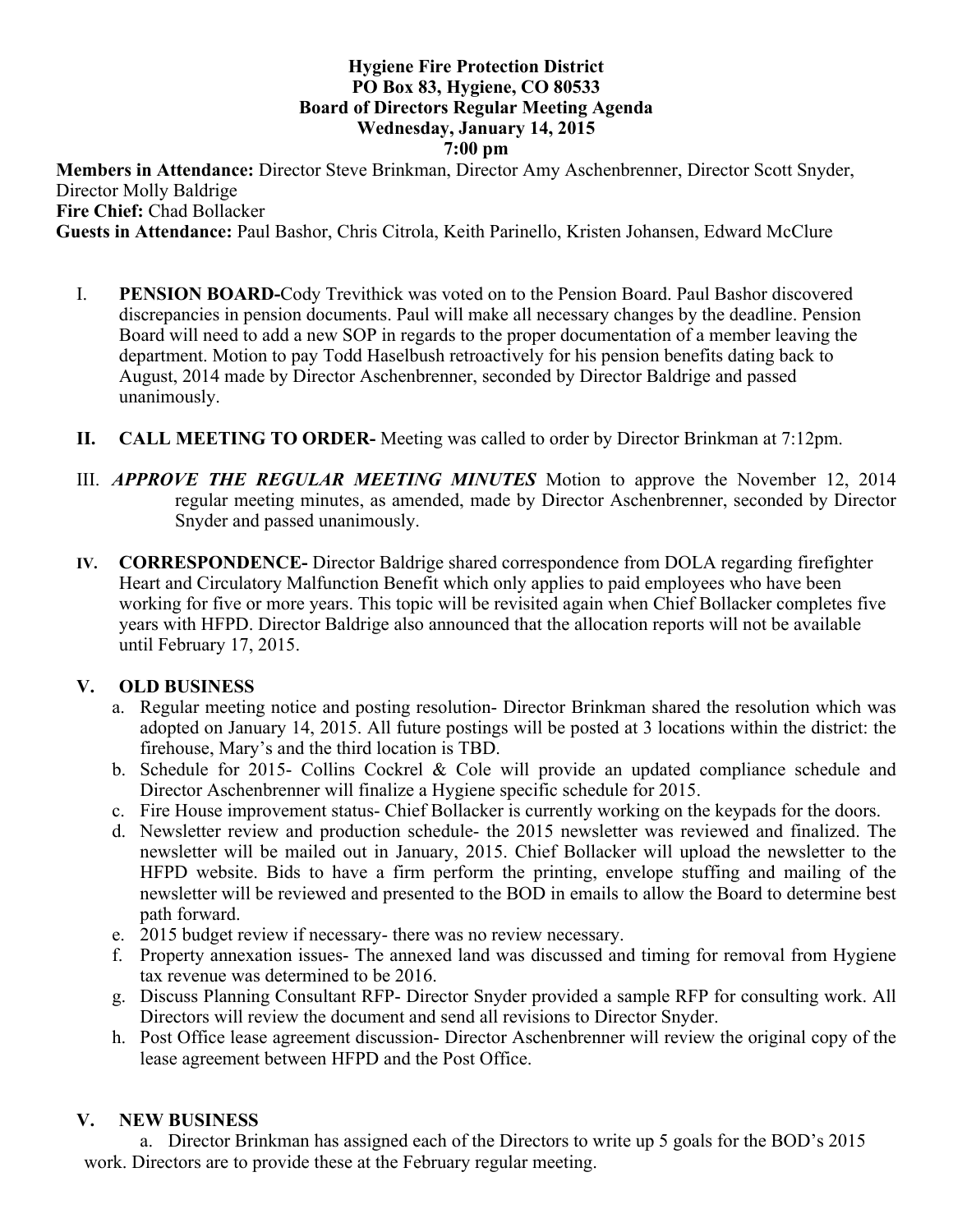#### **Hygiene Fire Protection District PO Box 83, Hygiene, CO 80533 Board of Directors Regular Meeting Agenda Wednesday, January 14, 2015 7:00 pm**

**Members in Attendance:** Director Steve Brinkman, Director Amy Aschenbrenner, Director Scott Snyder, Director Molly Baldrige **Fire Chief:** Chad Bollacker

**Guests in Attendance:** Paul Bashor, Chris Citrola, Keith Parinello, Kristen Johansen, Edward McClure

- I. **PENSION BOARD-**Cody Trevithick was voted on to the Pension Board. Paul Bashor discovered discrepancies in pension documents. Paul will make all necessary changes by the deadline. Pension Board will need to add a new SOP in regards to the proper documentation of a member leaving the department. Motion to pay Todd Haselbush retroactively for his pension benefits dating back to August, 2014 made by Director Aschenbrenner, seconded by Director Baldrige and passed unanimously.
- **II. CALL MEETING TO ORDER-** Meeting was called to order by Director Brinkman at 7:12pm.
- III. *APPROVE THE REGULAR MEETING MINUTES* Motion to approve the November 12, 2014 regular meeting minutes, as amended, made by Director Aschenbrenner, seconded by Director Snyder and passed unanimously.
- **IV. CORRESPONDENCE-** Director Baldrige shared correspondence from DOLA regarding firefighter Heart and Circulatory Malfunction Benefit which only applies to paid employees who have been working for five or more years. This topic will be revisited again when Chief Bollacker completes five years with HFPD. Director Baldrige also announced that the allocation reports will not be available until February 17, 2015.

### **V. OLD BUSINESS**

- a. Regular meeting notice and posting resolution- Director Brinkman shared the resolution which was adopted on January 14, 2015. All future postings will be posted at 3 locations within the district: the firehouse, Mary's and the third location is TBD.
- b. Schedule for 2015- Collins Cockrel & Cole will provide an updated compliance schedule and Director Aschenbrenner will finalize a Hygiene specific schedule for 2015.
- c. Fire House improvement status- Chief Bollacker is currently working on the keypads for the doors.
- d. Newsletter review and production schedule- the 2015 newsletter was reviewed and finalized. The newsletter will be mailed out in January, 2015. Chief Bollacker will upload the newsletter to the HFPD website. Bids to have a firm perform the printing, envelope stuffing and mailing of the newsletter will be reviewed and presented to the BOD in emails to allow the Board to determine best path forward.
- e. 2015 budget review if necessary- there was no review necessary.
- f. Property annexation issues- The annexed land was discussed and timing for removal from Hygiene tax revenue was determined to be 2016.
- g. Discuss Planning Consultant RFP- Director Snyder provided a sample RFP for consulting work. All Directors will review the document and send all revisions to Director Snyder.
- h. Post Office lease agreement discussion- Director Aschenbrenner will review the original copy of the lease agreement between HFPD and the Post Office.

#### **V. NEW BUSINESS**

a. Director Brinkman has assigned each of the Directors to write up 5 goals for the BOD's 2015 work. Directors are to provide these at the February regular meeting.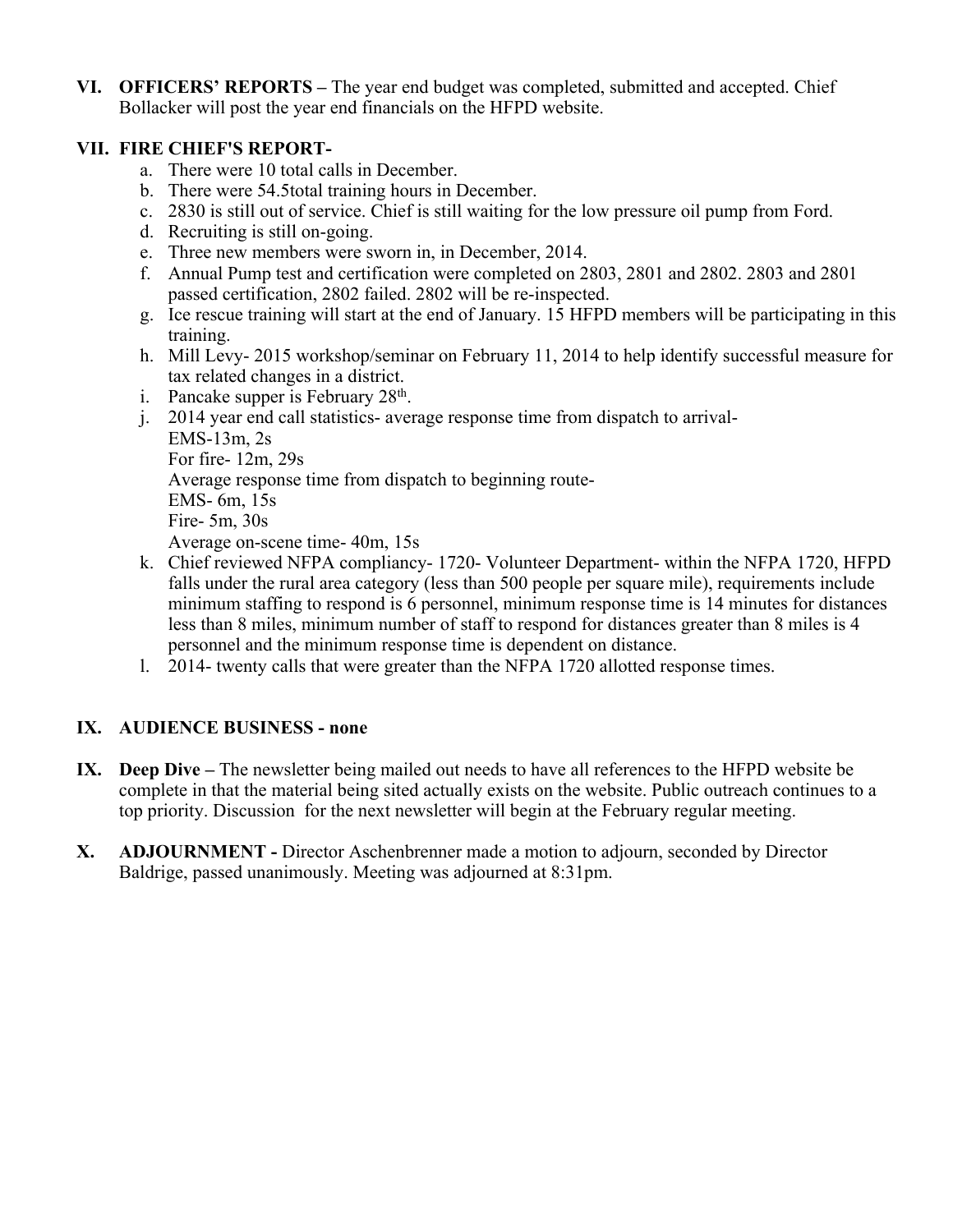**VI. OFFICERS' REPORTS –** The year end budget was completed, submitted and accepted. Chief Bollacker will post the year end financials on the HFPD website.

## **VII. FIRE CHIEF'S REPORT-**

- a. There were 10 total calls in December.
- b. There were 54.5total training hours in December.
- c. 2830 is still out of service. Chief is still waiting for the low pressure oil pump from Ford.
- d. Recruiting is still on-going.
- e. Three new members were sworn in, in December, 2014.
- f. Annual Pump test and certification were completed on 2803, 2801 and 2802. 2803 and 2801 passed certification, 2802 failed. 2802 will be re-inspected.
- g. Ice rescue training will start at the end of January. 15 HFPD members will be participating in this training.
- h. Mill Levy- 2015 workshop/seminar on February 11, 2014 to help identify successful measure for tax related changes in a district.
- i. Pancake supper is February  $28<sup>th</sup>$ .
- j. 2014 year end call statistics- average response time from dispatch to arrival-EMS-13m, 2s For fire- 12m, 29s Average response time from dispatch to beginning route-EMS- 6m, 15s Fire- 5m, 30s Average on-scene time- 40m, 15s
- k. Chief reviewed NFPA compliancy- 1720- Volunteer Department- within the NFPA 1720, HFPD falls under the rural area category (less than 500 people per square mile), requirements include minimum staffing to respond is 6 personnel, minimum response time is 14 minutes for distances less than 8 miles, minimum number of staff to respond for distances greater than 8 miles is 4 personnel and the minimum response time is dependent on distance.
- l. 2014- twenty calls that were greater than the NFPA 1720 allotted response times.

# **IX. AUDIENCE BUSINESS - none**

- **IX. Deep Dive –** The newsletter being mailed out needs to have all references to the HFPD website be complete in that the material being sited actually exists on the website. Public outreach continues to a top priority. Discussion for the next newsletter will begin at the February regular meeting.
- **X. ADJOURNMENT -** Director Aschenbrenner made a motion to adjourn, seconded by Director Baldrige, passed unanimously. Meeting was adjourned at 8:31pm.